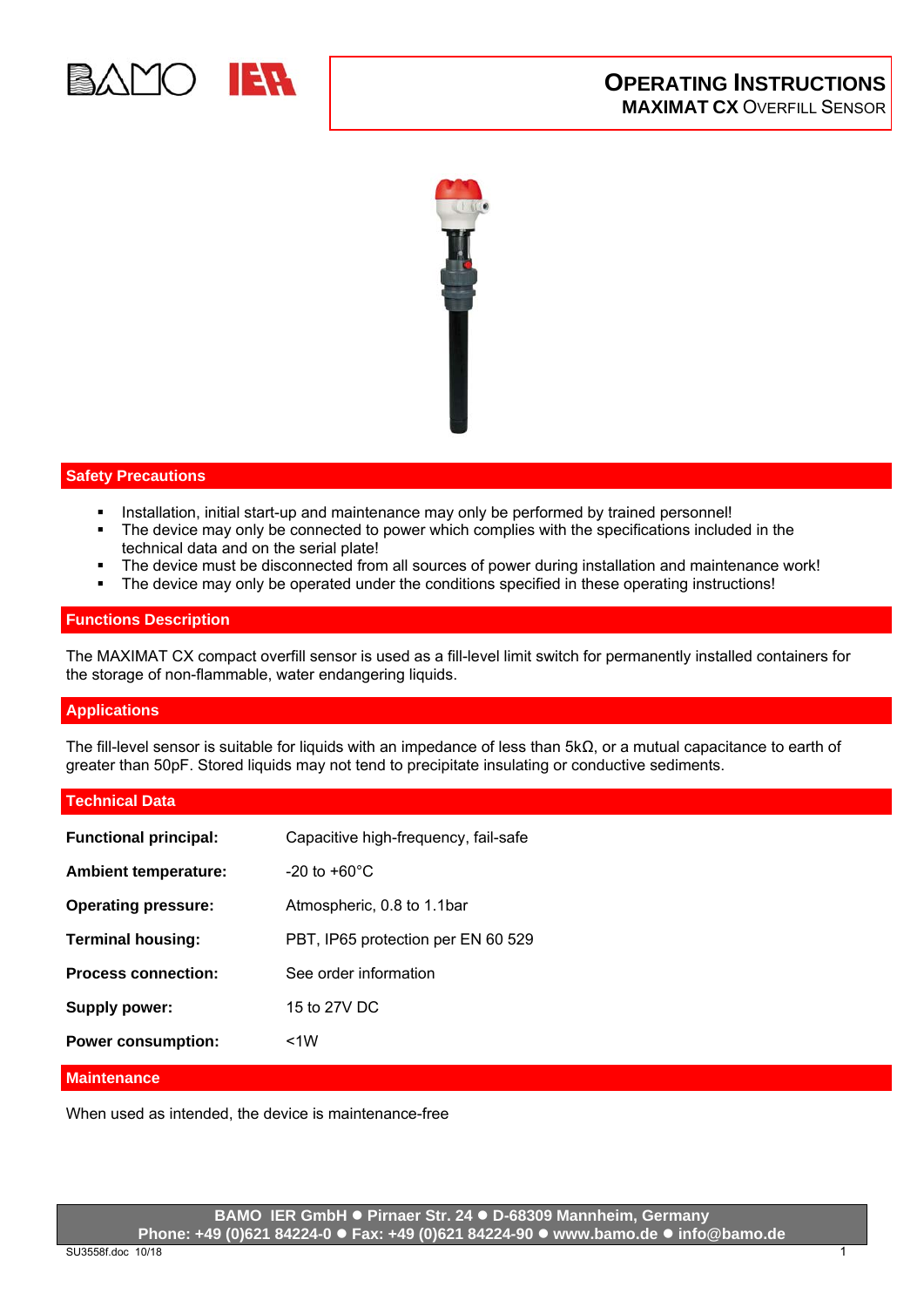



## **Safety Precautions**

- Installation, initial start-up and maintenance may only be performed by trained personnel!
- The device may only be connected to power which complies with the specifications included in the technical data and on the serial plate!
- The device must be disconnected from all sources of power during installation and maintenance work!
- The device may only be operated under the conditions specified in these operating instructions!

#### **Functions Description**

The MAXIMAT CX compact overfill sensor is used as a fill-level limit switch for permanently installed containers for the storage of non-flammable, water endangering liquids.

## **Applications**

The fill-level sensor is suitable for liquids with an impedance of less than 5kΩ, or a mutual capacitance to earth of greater than 50pF. Stored liquids may not tend to precipitate insulating or conductive sediments.

#### **Technical Data**

| <b>Functional principal:</b> | Capacitive high-frequency, fail-safe |
|------------------------------|--------------------------------------|
| <b>Ambient temperature:</b>  | $-20$ to $+60^{\circ}$ C             |
| <b>Operating pressure:</b>   | Atmospheric, 0.8 to 1.1bar           |
| <b>Terminal housing:</b>     | PBT, IP65 protection per EN 60 529   |
| <b>Process connection:</b>   | See order information                |
| <b>Supply power:</b>         | 15 to 27V DC                         |
| <b>Power consumption:</b>    | $<$ 1 $W$                            |

## **Maintenance**

When used as intended, the device is maintenance-free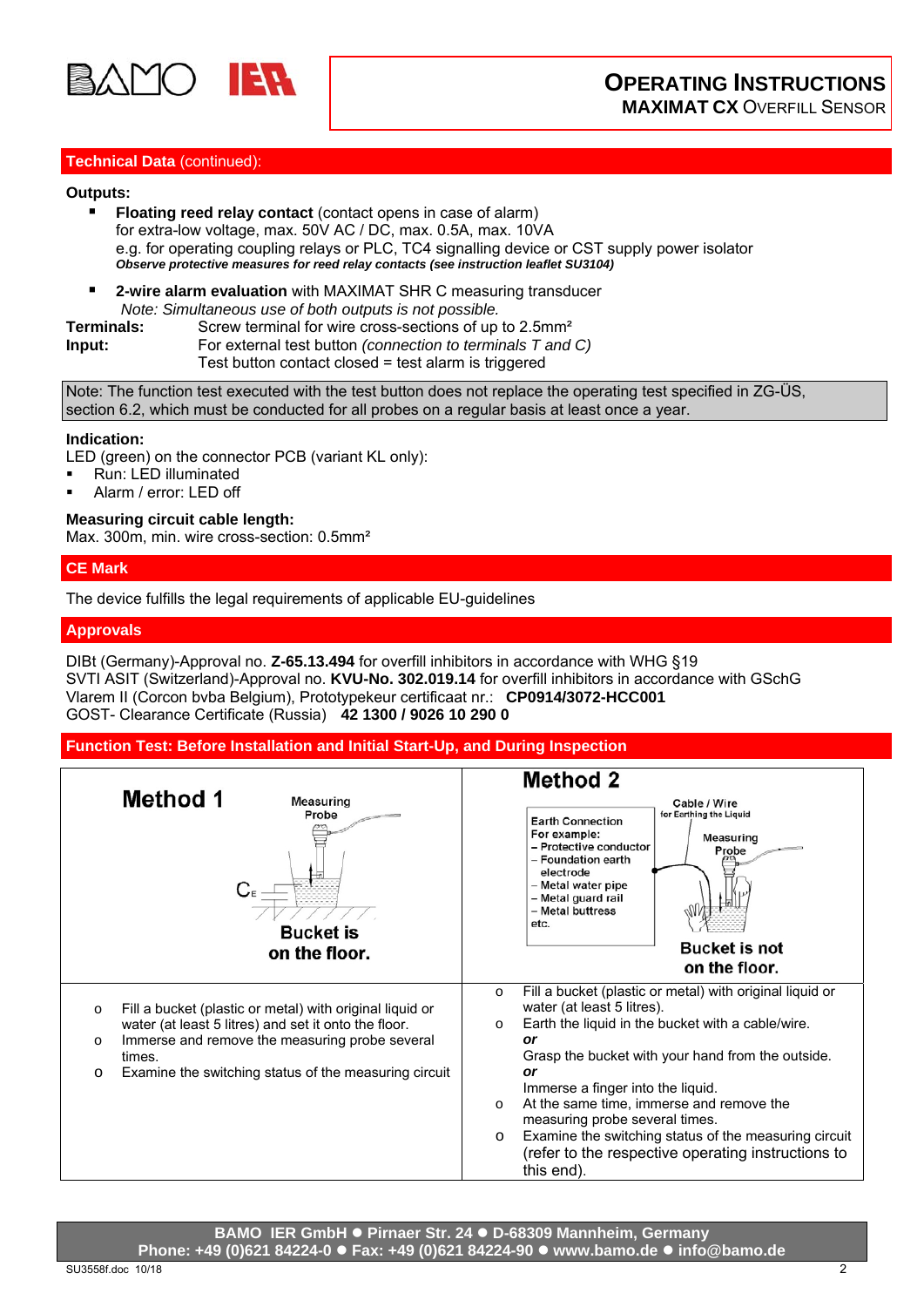

## **Technical Data** (continued):

#### **Outputs:**

- **Floating reed relay contact** (contact opens in case of alarm) for extra-low voltage, max. 50V AC / DC, max. 0.5A, max. 10VA e.g. for operating coupling relays or PLC, TC4 signalling device or CST supply power isolator *Observe protective measures for reed relay contacts (see instruction leaflet SU3104)*
- **2-wire alarm evaluation** with MAXIMAT SHR C measuring transducer *Note: Simultaneous use of both outputs is not possible.*

**Terminals:** Screw terminal for wire cross-sections of up to 2.5mm<sup>2</sup> **Input:** For external test button *(connection to terminals T and C)* Test button contact closed = test alarm is triggered

Note: The function test executed with the test button does not replace the operating test specified in ZG-ÜS, section 6.2, which must be conducted for all probes on a regular basis at least once a year.

#### **Indication:**

LED (green) on the connector PCB (variant KL only):

- **Run: LED illuminated**
- Alarm / error: LED off

## **Measuring circuit cable length:**

Max. 300m, min. wire cross-section: 0.5mm<sup>2</sup>

## **CE Mark**

The device fulfills the legal requirements of applicable EU-guidelines

#### **Approvals**

DIBt (Germany)-Approval no. **Z-65.13.494** for overfill inhibitors in accordance with WHG §19 SVTI ASIT (Switzerland)-Approval no. **KVU-No. 302.019.14** for overfill inhibitors in accordance with GSchG Vlarem II (Corcon bvba Belgium), Prototypekeur certificaat nr.: **CP0914/3072-HCC001** GOST- Clearance Certificate (Russia) **42 1300 / 9026 10 290 0** 

#### **Function Test: Before Installation and Initial Start-Up, and During Inspection**

| <b>Method 1</b><br>Measuring<br>Probe<br>С<br><b>Bucket</b> is<br>on the floor.                                                                                                                                                                                        | <b>Method 2</b><br>Cable / Wire<br>for Earthing the Liquid<br><b>Earth Connection</b><br>For example:<br><b>Measuring</b><br>- Protective conductor<br>Probe<br>- Foundation earth<br>electrode<br>- Metal water pipe<br>- Metal guard rail<br>- Metal buttress<br>etc.<br><b>Bucket is not</b><br>on the floor.                                                                                                                                                                                                |
|------------------------------------------------------------------------------------------------------------------------------------------------------------------------------------------------------------------------------------------------------------------------|-----------------------------------------------------------------------------------------------------------------------------------------------------------------------------------------------------------------------------------------------------------------------------------------------------------------------------------------------------------------------------------------------------------------------------------------------------------------------------------------------------------------|
| Fill a bucket (plastic or metal) with original liquid or<br>$\circ$<br>water (at least 5 litres) and set it onto the floor.<br>Immerse and remove the measuring probe several<br>$\circ$<br>times.<br>Examine the switching status of the measuring circuit<br>$\circ$ | Fill a bucket (plastic or metal) with original liquid or<br>$\circ$<br>water (at least 5 litres).<br>Earth the liquid in the bucket with a cable/wire.<br>$\circ$<br>or<br>Grasp the bucket with your hand from the outside.<br><b>or</b><br>Immerse a finger into the liquid.<br>At the same time, immerse and remove the<br>$\circ$<br>measuring probe several times.<br>Examine the switching status of the measuring circuit<br>$\circ$<br>(refer to the respective operating instructions to<br>this end). |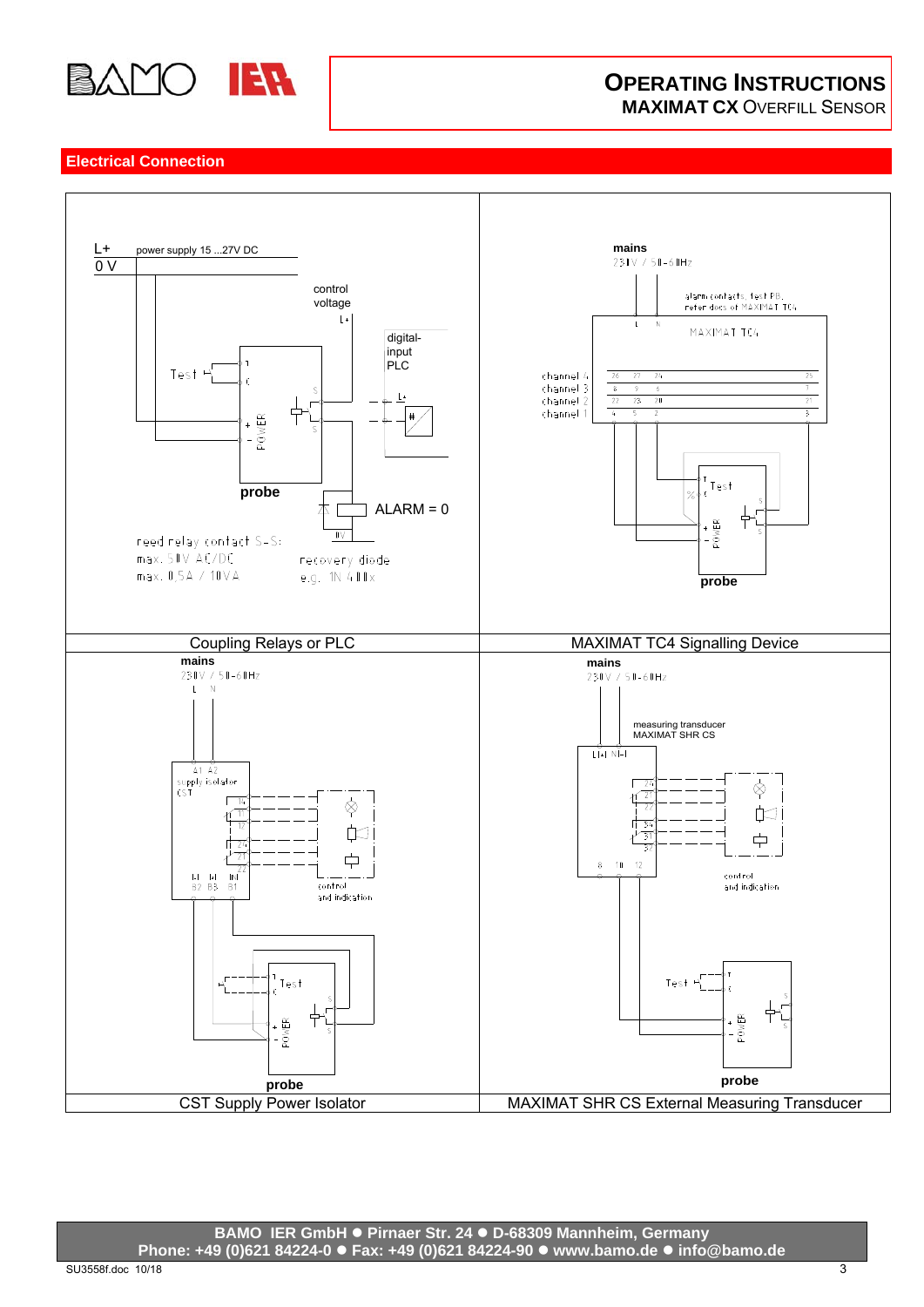

# **OPERATING INSTRUCTIONS MAXIMAT CX** OVERFILL SENSOR

# **Electrical Connection**